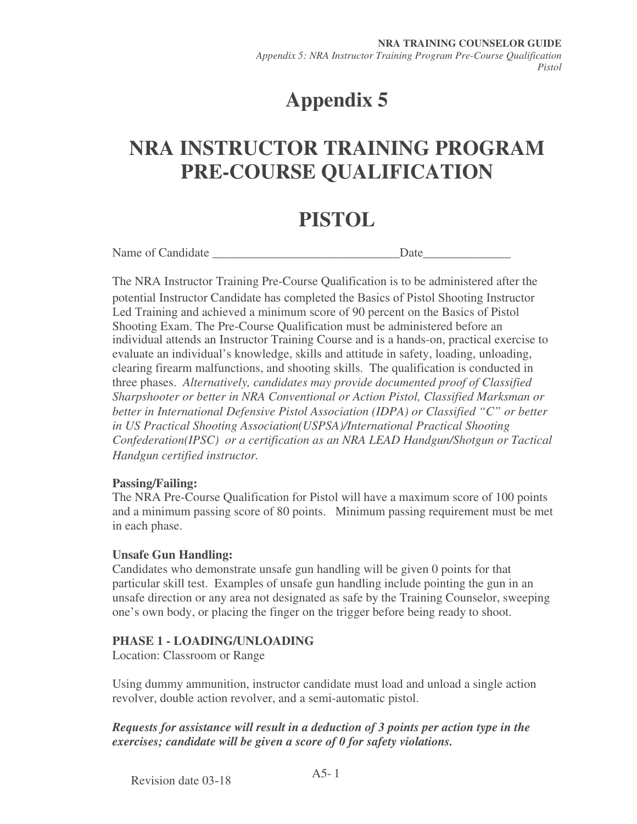# **Appendix 5**

## **NRA INSTRUCTOR TRAINING PROGRAM PRE-COURSE QUALIFICATION**

## **PISTOL**

Name of Candidate **Date** 

The NRA Instructor Training Pre-Course Qualification is to be administered after the potential Instructor Candidate has completed the Basics of Pistol Shooting Instructor Led Training and achieved a minimum score of 90 percent on the Basics of Pistol Shooting Exam. The Pre-Course Qualification must be administered before an individual attends an Instructor Training Course and is a hands-on, practical exercise to evaluate an individual's knowledge, skills and attitude in safety, loading, unloading, clearing firearm malfunctions, and shooting skills. The qualification is conducted in three phases. *Alternatively, candidates may provide documented proof of Classified Sharpshooter or better in NRA Conventional or Action Pistol, Classified Marksman or better in International Defensive Pistol Association (IDPA) or Classified "C" or better in US Practical Shooting Association(USPSA)/International Practical Shooting Confederation(IPSC) or a certification as an NRA LEAD Handgun/Shotgun or Tactical Handgun certified instructor.* 

#### **Passing/Failing:**

The NRA Pre-Course Qualification for Pistol will have a maximum score of 100 points and a minimum passing score of 80 points. Minimum passing requirement must be met in each phase.

#### **Unsafe Gun Handling:**

Candidates who demonstrate unsafe gun handling will be given 0 points for that particular skill test. Examples of unsafe gun handling include pointing the gun in an unsafe direction or any area not designated as safe by the Training Counselor, sweeping one's own body, or placing the finger on the trigger before being ready to shoot.

#### **PHASE 1 - LOADING/UNLOADING**

Location: Classroom or Range

Using dummy ammunition, instructor candidate must load and unload a single action revolver, double action revolver, and a semi-automatic pistol.

*Requests for assistance will result in a deduction of 3 points per action type in the exercises; candidate will be given a score of 0 for safety violations.*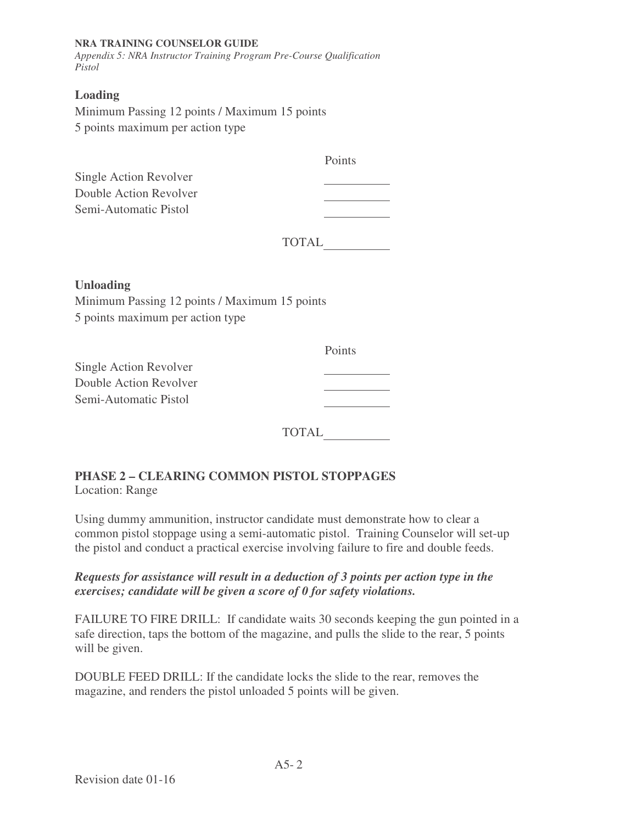#### **NRA TRAINING COUNSELOR GUIDE**

*Appendix 5: NRA Instructor Training Program Pre-Course Qualification Pistol* 

#### **Loading**

Minimum Passing 12 points / Maximum 15 points 5 points maximum per action type

| Points |
|--------|
|        |
|        |
|        |
|        |

| <b>TOTAL</b> |  |
|--------------|--|
|--------------|--|

#### **Unloading**

Minimum Passing 12 points / Maximum 15 points 5 points maximum per action type

|                        | Points |
|------------------------|--------|
| Single Action Revolver |        |
| Double Action Revolver |        |
| Semi-Automatic Pistol  |        |
|                        |        |

TOTAL

### **PHASE 2 – CLEARING COMMON PISTOL STOPPAGES**

Location: Range

Using dummy ammunition, instructor candidate must demonstrate how to clear a common pistol stoppage using a semi-automatic pistol. Training Counselor will set-up the pistol and conduct a practical exercise involving failure to fire and double feeds.

*Requests for assistance will result in a deduction of 3 points per action type in the exercises; candidate will be given a score of 0 for safety violations.* 

FAILURE TO FIRE DRILL: If candidate waits 30 seconds keeping the gun pointed in a safe direction, taps the bottom of the magazine, and pulls the slide to the rear, 5 points will be given.

DOUBLE FEED DRILL: If the candidate locks the slide to the rear, removes the magazine, and renders the pistol unloaded 5 points will be given.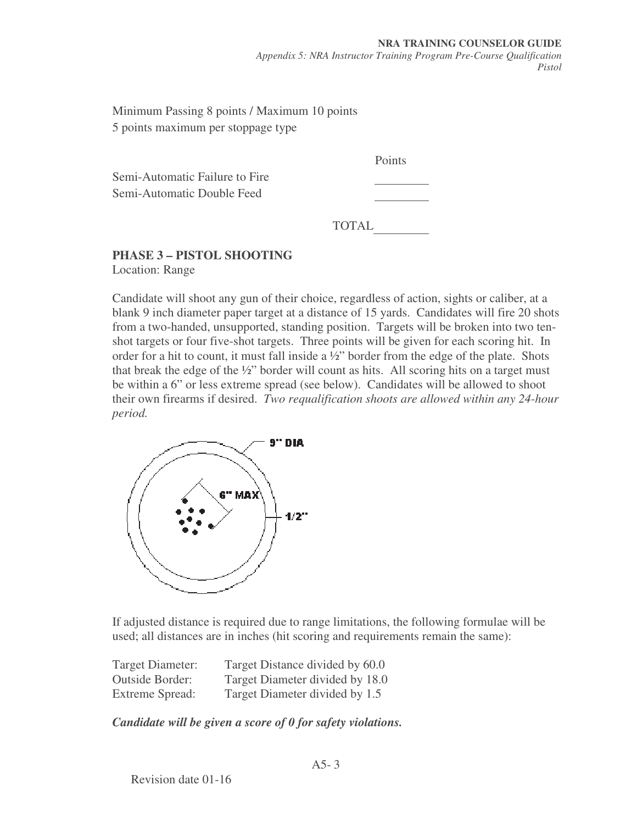Minimum Passing 8 points / Maximum 10 points 5 points maximum per stoppage type

Semi-Automatic Failure to Fire Semi-Automatic Double Feed

Points

TOTAL

### **PHASE 3 – PISTOL SHOOTING**

Location: Range

Candidate will shoot any gun of their choice, regardless of action, sights or caliber, at a blank 9 inch diameter paper target at a distance of 15 yards. Candidates will fire 20 shots from a two-handed, unsupported, standing position. Targets will be broken into two tenshot targets or four five-shot targets. Three points will be given for each scoring hit. In order for a hit to count, it must fall inside a ½" border from the edge of the plate. Shots that break the edge of the ½" border will count as hits. All scoring hits on a target must be within a 6" or less extreme spread (see below). Candidates will be allowed to shoot their own firearms if desired. *Two requalification shoots are allowed within any 24-hour period.* 



If adjusted distance is required due to range limitations, the following formulae will be used; all distances are in inches (hit scoring and requirements remain the same):

| Target Diameter:       | Target Distance divided by 60.0 |
|------------------------|---------------------------------|
| <b>Outside Border:</b> | Target Diameter divided by 18.0 |
| Extreme Spread:        | Target Diameter divided by 1.5  |

*Candidate will be given a score of 0 for safety violations.*